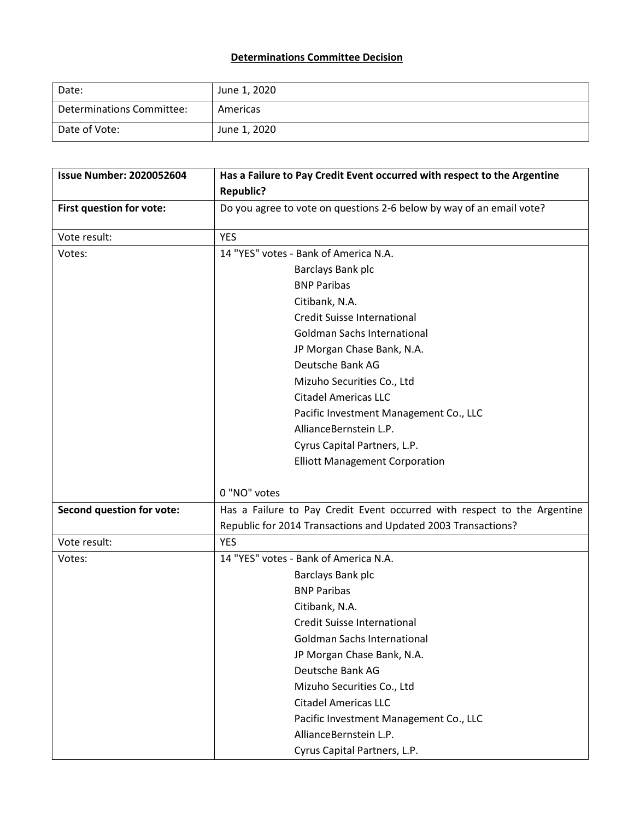## **Determinations Committee Decision**

| Date:                     | June 1, 2020 |
|---------------------------|--------------|
| Determinations Committee: | Americas     |
| Date of Vote:             | June 1, 2020 |

| <b>Issue Number: 2020052604</b>  | Has a Failure to Pay Credit Event occurred with respect to the Argentine |
|----------------------------------|--------------------------------------------------------------------------|
|                                  | <b>Republic?</b>                                                         |
| First question for vote:         | Do you agree to vote on questions 2-6 below by way of an email vote?     |
| Vote result:                     | <b>YES</b>                                                               |
| Votes:                           | 14 "YES" votes - Bank of America N.A.                                    |
|                                  | Barclays Bank plc                                                        |
|                                  | <b>BNP Paribas</b>                                                       |
|                                  | Citibank, N.A.                                                           |
|                                  | <b>Credit Suisse International</b>                                       |
|                                  | <b>Goldman Sachs International</b>                                       |
|                                  | JP Morgan Chase Bank, N.A.                                               |
|                                  | Deutsche Bank AG                                                         |
|                                  | Mizuho Securities Co., Ltd                                               |
|                                  | <b>Citadel Americas LLC</b>                                              |
|                                  | Pacific Investment Management Co., LLC                                   |
|                                  | AllianceBernstein L.P.                                                   |
|                                  | Cyrus Capital Partners, L.P.                                             |
|                                  | <b>Elliott Management Corporation</b>                                    |
|                                  |                                                                          |
|                                  | 0 "NO" votes                                                             |
| <b>Second question for vote:</b> | Has a Failure to Pay Credit Event occurred with respect to the Argentine |
|                                  | Republic for 2014 Transactions and Updated 2003 Transactions?            |
| Vote result:                     | <b>YES</b>                                                               |
| Votes:                           | 14 "YES" votes - Bank of America N.A.                                    |
|                                  | Barclays Bank plc                                                        |
|                                  | <b>BNP Paribas</b>                                                       |
|                                  | Citibank, N.A.                                                           |
|                                  | <b>Credit Suisse International</b>                                       |
|                                  | <b>Goldman Sachs International</b>                                       |
|                                  | JP Morgan Chase Bank, N.A.                                               |
|                                  | Deutsche Bank AG                                                         |
|                                  | Mizuho Securities Co., Ltd                                               |
|                                  | <b>Citadel Americas LLC</b>                                              |
|                                  | Pacific Investment Management Co., LLC                                   |
|                                  | AllianceBernstein L.P.                                                   |
|                                  | Cyrus Capital Partners, L.P.                                             |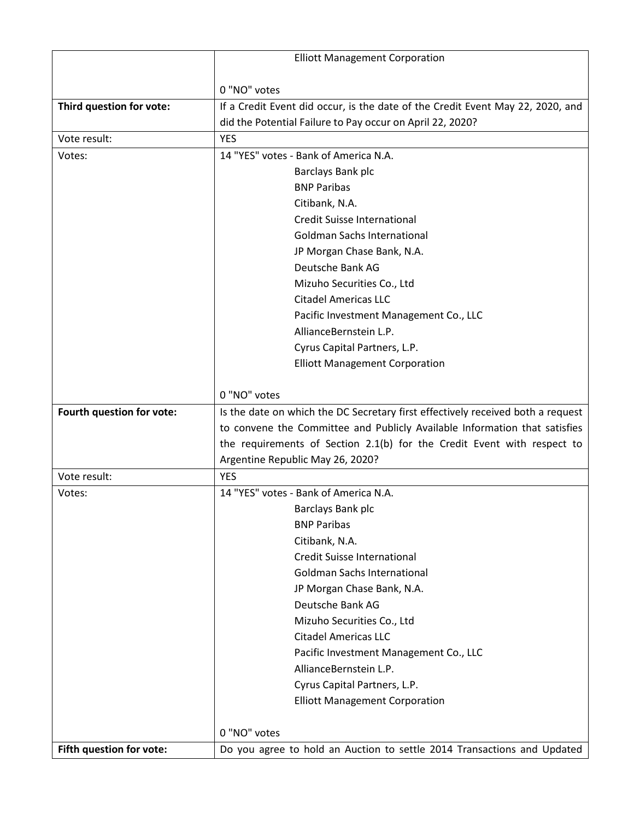|                           | <b>Elliott Management Corporation</b>                                           |
|---------------------------|---------------------------------------------------------------------------------|
|                           |                                                                                 |
|                           | 0 "NO" votes                                                                    |
| Third question for vote:  | If a Credit Event did occur, is the date of the Credit Event May 22, 2020, and  |
|                           | did the Potential Failure to Pay occur on April 22, 2020?                       |
| Vote result:              | <b>YES</b>                                                                      |
| Votes:                    | 14 "YES" votes - Bank of America N.A.                                           |
|                           | Barclays Bank plc                                                               |
|                           | <b>BNP Paribas</b>                                                              |
|                           | Citibank, N.A.                                                                  |
|                           | <b>Credit Suisse International</b>                                              |
|                           | <b>Goldman Sachs International</b>                                              |
|                           | JP Morgan Chase Bank, N.A.                                                      |
|                           | Deutsche Bank AG                                                                |
|                           | Mizuho Securities Co., Ltd                                                      |
|                           | <b>Citadel Americas LLC</b>                                                     |
|                           | Pacific Investment Management Co., LLC                                          |
|                           | AllianceBernstein L.P.                                                          |
|                           | Cyrus Capital Partners, L.P.                                                    |
|                           | <b>Elliott Management Corporation</b>                                           |
|                           |                                                                                 |
|                           | 0 "NO" votes                                                                    |
| Fourth question for vote: | Is the date on which the DC Secretary first effectively received both a request |
|                           | to convene the Committee and Publicly Available Information that satisfies      |
|                           | the requirements of Section 2.1(b) for the Credit Event with respect to         |
| Vote result:              | Argentine Republic May 26, 2020?<br><b>YES</b>                                  |
|                           | 14 "YES" votes - Bank of America N.A.                                           |
| Votes:                    |                                                                                 |
|                           | Barclays Bank plc<br><b>BNP Paribas</b>                                         |
|                           | Citibank, N.A.                                                                  |
|                           | Credit Suisse International                                                     |
|                           | <b>Goldman Sachs International</b>                                              |
|                           | JP Morgan Chase Bank, N.A.                                                      |
|                           | Deutsche Bank AG                                                                |
|                           | Mizuho Securities Co., Ltd                                                      |
|                           | <b>Citadel Americas LLC</b>                                                     |
|                           | Pacific Investment Management Co., LLC                                          |
|                           | AllianceBernstein L.P.                                                          |
|                           | Cyrus Capital Partners, L.P.                                                    |
|                           | <b>Elliott Management Corporation</b>                                           |
|                           |                                                                                 |
|                           | 0 "NO" votes                                                                    |
| Fifth question for vote:  | Do you agree to hold an Auction to settle 2014 Transactions and Updated         |